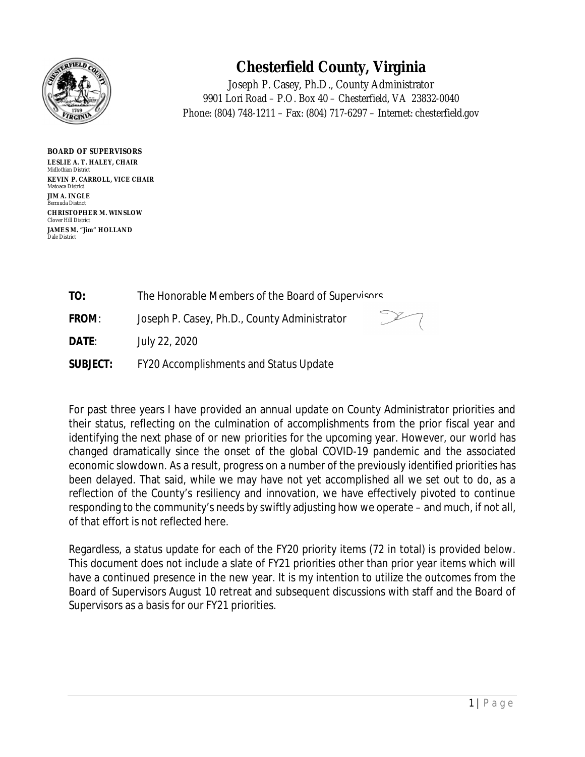

# **Chesterfield County, Virginia**

Phone: (804) 748-1211 – Fax: (804) 717-6297 – Internet: chesterfield.gov Joseph P. Casey, Ph.D., County Administrator 9901 Lori Road – P.O. Box 40 – Chesterfield, VA 23832-0040

**BOARD OF SUPERVISORS LESLIE A. T. HALEY, CHAIR** Midlothian District **KEVIN P. CARROLL, VICE CHAIR** Matoaca District **JIM A. INGLE** Bermuda District **CHRISTOPHER M. WINSLOW** Clover Hill District **JAMES M. "Jim" HOLLAND** Dale District

**TO:** The Honorable Members of the Board of Supervisors

**FROM**: Joseph P. Casey, Ph.D., County Administrator

**DATE**: July 22, 2020

**SUBJECT:** FY20 Accomplishments and Status Update

For past three years I have provided an annual update on County Administrator priorities and their status, reflecting on the culmination of accomplishments from the prior fiscal year and identifying the next phase of or new priorities for the upcoming year. However, our world has changed dramatically since the onset of the global COVID-19 pandemic and the associated economic slowdown. As a result, progress on a number of the previously identified priorities has been delayed. That said, while we may have not yet accomplished all we set out to do, as a reflection of the County's resiliency and innovation, we have effectively pivoted to continue responding to the community's needs by swiftly adjusting how we operate – and much, if not all, of that effort is not reflected here.

Regardless, a status update for each of the FY20 priority items (72 in total) is provided below. This document does not include a slate of FY21 priorities other than prior year items which will have a continued presence in the new year. It is my intention to utilize the outcomes from the Board of Supervisors August 10 retreat and subsequent discussions with staff and the Board of Supervisors as a basis for our FY21 priorities.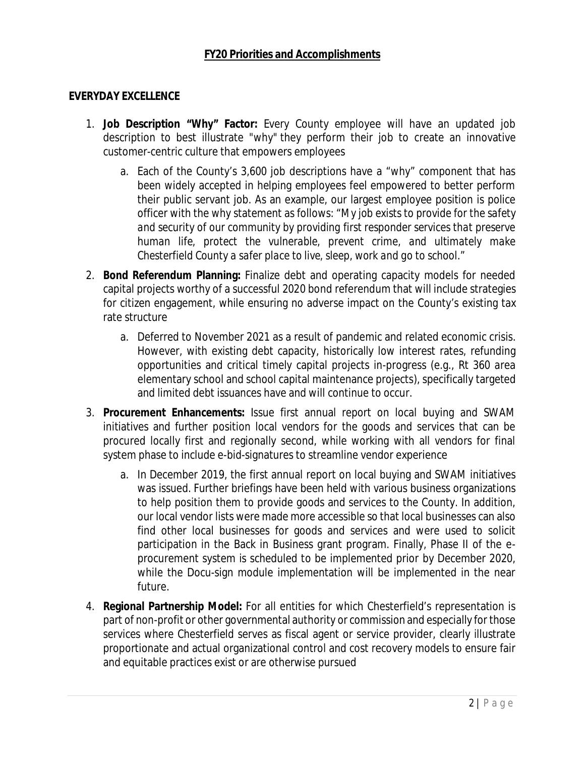#### **EVERYDAY EXCELLENCE**

- 1. **Job Description "Why" Factor:** Every County employee will have an updated job description to best illustrate "why" they perform their job to create an innovative customer-centric culture that empowers employees
	- a. Each of the County's 3,600 job descriptions have a "why" component that has been widely accepted in helping employees feel empowered to better perform their public servant job. As an example, our largest employee position is police officer with the why statement as follows: "*My job exists to provide for the safety and security of our community by providing first responder services that preserve human life, protect the vulnerable, prevent crime, and ultimately make Chesterfield County a safer place to live, sleep, work and go to school*."
- 2. **Bond Referendum Planning:** Finalize debt and operating capacity models for needed capital projects worthy of a successful 2020 bond referendum that will include strategies for citizen engagement, while ensuring no adverse impact on the County's existing tax rate structure
	- a. Deferred to November 2021 as a result of pandemic and related economic crisis. However, with existing debt capacity, historically low interest rates, refunding opportunities and critical timely capital projects in-progress (e.g., Rt 360 area elementary school and school capital maintenance projects), specifically targeted and limited debt issuances have and will continue to occur.
- 3. **Procurement Enhancements:** Issue first annual report on local buying and SWAM initiatives and further position local vendors for the goods and services that can be procured locally first and regionally second, while working with all vendors for final system phase to include e-bid-signatures to streamline vendor experience
	- a. In December 2019, the first annual report on local buying and SWAM initiatives was issued. Further briefings have been held with various business organizations to help position them to provide goods and services to the County. In addition, our local vendor lists were made more accessible so that local businesses can also find other local businesses for goods and services and were used to solicit participation in the Back in Business grant program. Finally, Phase II of the eprocurement system is scheduled to be implemented prior by December 2020, while the Docu-sign module implementation will be implemented in the near future.
- 4. **Regional Partnership Model:** For all entities for which Chesterfield's representation is part of non-profit or other governmental authority or commission and especially for those services where Chesterfield serves as fiscal agent or service provider, clearly illustrate proportionate and actual organizational control and cost recovery models to ensure fair and equitable practices exist or are otherwise pursued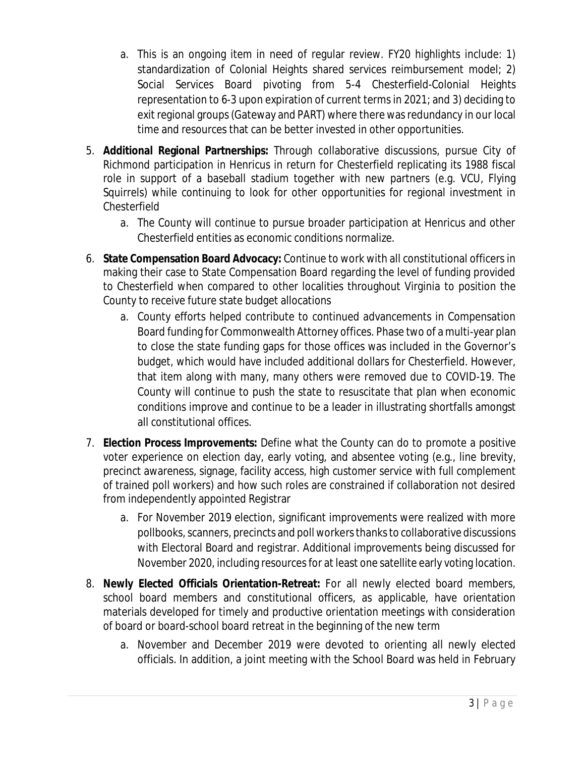- a. This is an ongoing item in need of regular review. FY20 highlights include: 1) standardization of Colonial Heights shared services reimbursement model; 2) Social Services Board pivoting from 5-4 Chesterfield-Colonial Heights representation to 6-3 upon expiration of current terms in 2021; and 3) deciding to exit regional groups (Gateway and PART) where there was redundancy in our local time and resources that can be better invested in other opportunities.
- 5. **Additional Regional Partnerships:** Through collaborative discussions, pursue City of Richmond participation in Henricus in return for Chesterfield replicating its 1988 fiscal role in support of a baseball stadium together with new partners (e.g. VCU, Flying Squirrels) while continuing to look for other opportunities for regional investment in Chesterfield
	- a. The County will continue to pursue broader participation at Henricus and other Chesterfield entities as economic conditions normalize.
- 6. **State Compensation Board Advocacy:** Continue to work with all constitutional officers in making their case to State Compensation Board regarding the level of funding provided to Chesterfield when compared to other localities throughout Virginia to position the County to receive future state budget allocations
	- a. County efforts helped contribute to continued advancements in Compensation Board funding for Commonwealth Attorney offices. Phase two of a multi-year plan to close the state funding gaps for those offices was included in the Governor's budget, which would have included additional dollars for Chesterfield. However, that item along with many, many others were removed due to COVID-19. The County will continue to push the state to resuscitate that plan when economic conditions improve and continue to be a leader in illustrating shortfalls amongst all constitutional offices.
- 7. **Election Process Improvements:** Define what the County can do to promote a positive voter experience on election day, early voting, and absentee voting (e.g., line brevity, precinct awareness, signage, facility access, high customer service with full complement of trained poll workers) and how such roles are constrained if collaboration not desired from independently appointed Registrar
	- a. For November 2019 election, significant improvements were realized with more pollbooks, scanners, precincts and poll workers thanks to collaborative discussions with Electoral Board and registrar. Additional improvements being discussed for November 2020, including resources for at least one satellite early voting location.
- 8. **Newly Elected Officials Orientation-Retreat:** For all newly elected board members, school board members and constitutional officers, as applicable, have orientation materials developed for timely and productive orientation meetings with consideration of board or board-school board retreat in the beginning of the new term
	- a. November and December 2019 were devoted to orienting all newly elected officials. In addition, a joint meeting with the School Board was held in February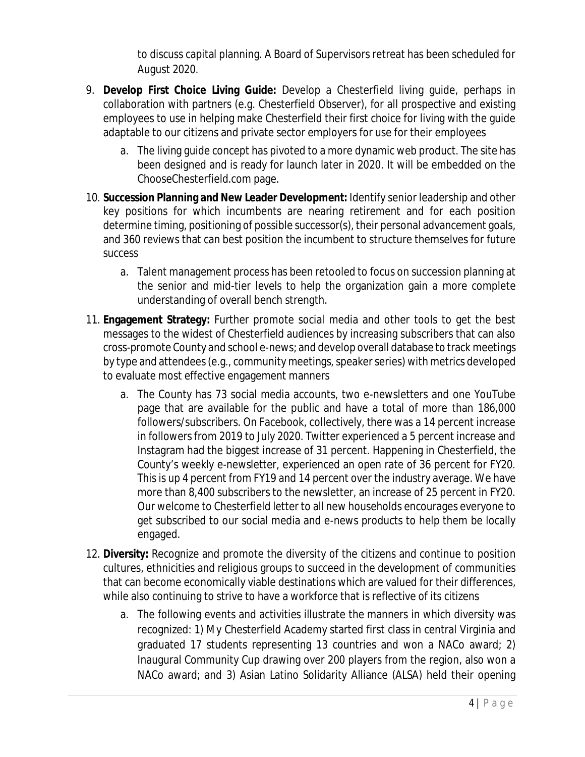to discuss capital planning. A Board of Supervisors retreat has been scheduled for August 2020.

- 9. **Develop First Choice Living Guide:** Develop a Chesterfield living guide, perhaps in collaboration with partners (e.g. Chesterfield Observer), for all prospective and existing employees to use in helping make Chesterfield their first choice for living with the guide adaptable to our citizens and private sector employers for use for their employees
	- a. The living guide concept has pivoted to a more dynamic web product. The site has been designed and is ready for launch later in 2020. It will be embedded on the ChooseChesterfield.com page.
- 10. **Succession Planning and New Leader Development:** Identify senior leadership and other key positions for which incumbents are nearing retirement and for each position determine timing, positioning of possible successor(s), their personal advancement goals, and 360 reviews that can best position the incumbent to structure themselves for future success
	- a. Talent management process has been retooled to focus on succession planning at the senior and mid-tier levels to help the organization gain a more complete understanding of overall bench strength.
- 11. **Engagement Strategy:** Further promote social media and other tools to get the best messages to the widest of Chesterfield audiences by increasing subscribers that can also cross-promote County and school e-news; and develop overall database to track meetings by type and attendees (e.g., community meetings, speaker series) with metrics developed to evaluate most effective engagement manners
	- a. The County has 73 social media accounts, two e-newsletters and one YouTube page that are available for the public and have a total of more than 186,000 followers/subscribers. On Facebook, collectively, there was a 14 percent increase in followers from 2019 to July 2020. Twitter experienced a 5 percent increase and Instagram had the biggest increase of 31 percent. Happening in Chesterfield, the County's weekly e-newsletter, experienced an open rate of 36 percent for FY20. This is up 4 percent from FY19 and 14 percent over the industry average. We have more than 8,400 subscribers to the newsletter, an increase of 25 percent in FY20. Our welcome to Chesterfield letter to all new households encourages everyone to get subscribed to our social media and e-news products to help them be locally engaged.
- 12. **Diversity:** Recognize and promote the diversity of the citizens and continue to position cultures, ethnicities and religious groups to succeed in the development of communities that can become economically viable destinations which are valued for their differences, while also continuing to strive to have a workforce that is reflective of its citizens
	- a. The following events and activities illustrate the manners in which diversity was recognized: 1) My Chesterfield Academy started first class in central Virginia and graduated 17 students representing 13 countries and won a NACo award; 2) Inaugural Community Cup drawing over 200 players from the region, also won a NACo award; and 3) Asian Latino Solidarity Alliance (ALSA) held their opening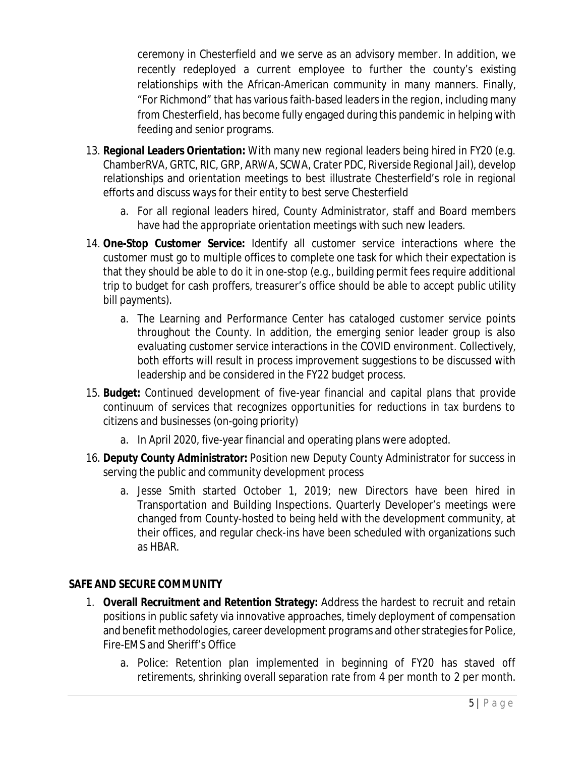ceremony in Chesterfield and we serve as an advisory member. In addition, we recently redeployed a current employee to further the county's existing relationships with the African-American community in many manners. Finally, "For Richmond" that has various faith-based leaders in the region, including many from Chesterfield, has become fully engaged during this pandemic in helping with feeding and senior programs.

- 13. **Regional Leaders Orientation:** With many new regional leaders being hired in FY20 (e.g. ChamberRVA, GRTC, RIC, GRP, ARWA, SCWA, Crater PDC, Riverside Regional Jail), develop relationships and orientation meetings to best illustrate Chesterfield's role in regional efforts and discuss ways for their entity to best serve Chesterfield
	- a. For all regional leaders hired, County Administrator, staff and Board members have had the appropriate orientation meetings with such new leaders.
- 14. **One-Stop Customer Service:** Identify all customer service interactions where the customer must go to multiple offices to complete one task for which their expectation is that they should be able to do it in one-stop (e.g., building permit fees require additional trip to budget for cash proffers, treasurer's office should be able to accept public utility bill payments).
	- a. The Learning and Performance Center has cataloged customer service points throughout the County. In addition, the emerging senior leader group is also evaluating customer service interactions in the COVID environment. Collectively, both efforts will result in process improvement suggestions to be discussed with leadership and be considered in the FY22 budget process.
- 15. **Budget:** Continued development of five-year financial and capital plans that provide continuum of services that recognizes opportunities for reductions in tax burdens to citizens and businesses (on-going priority)
	- a. In April 2020, five-year financial and operating plans were adopted.
- 16. **Deputy County Administrator:** Position new Deputy County Administrator for success in serving the public and community development process
	- a. Jesse Smith started October 1, 2019; new Directors have been hired in Transportation and Building Inspections. Quarterly Developer's meetings were changed from County-hosted to being held with the development community, at their offices, and regular check-ins have been scheduled with organizations such as HBAR.

## **SAFE AND SECURE COMMUNITY**

- 1. **Overall Recruitment and Retention Strategy:** Address the hardest to recruit and retain positions in public safety via innovative approaches, timely deployment of compensation and benefit methodologies, career development programs and other strategies for Police, Fire-EMS and Sheriff's Office
	- a. Police: Retention plan implemented in beginning of FY20 has staved off retirements, shrinking overall separation rate from 4 per month to 2 per month.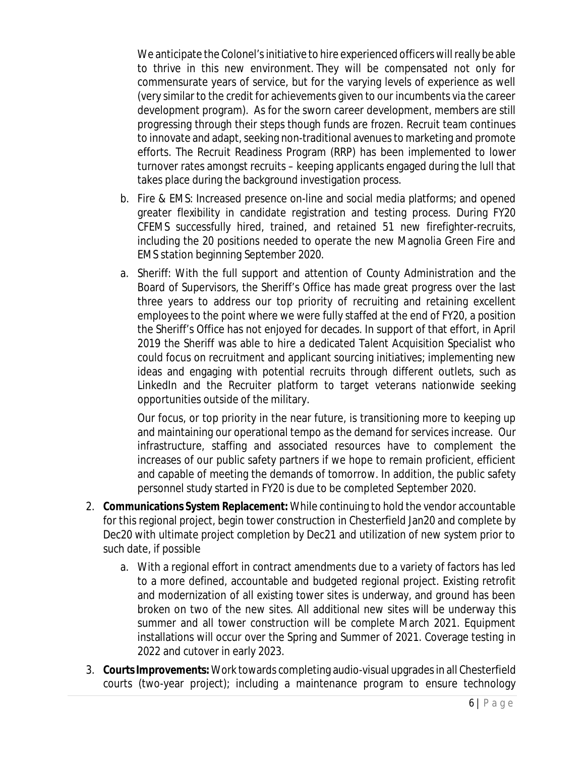We anticipate the Colonel's initiative to hire experienced officers will really be able to thrive in this new environment. They will be compensated not only for commensurate years of service, but for the varying levels of experience as well (very similar to the credit for achievements given to our incumbents via the career development program). As for the sworn career development, members are still progressing through their steps though funds are frozen. Recruit team continues to innovate and adapt, seeking non-traditional avenues to marketing and promote efforts. The Recruit Readiness Program (RRP) has been implemented to lower turnover rates amongst recruits – keeping applicants engaged during the lull that takes place during the background investigation process.

- b. Fire & EMS: Increased presence on-line and social media platforms; and opened greater flexibility in candidate registration and testing process. During FY20 CFEMS successfully hired, trained, and retained 51 new firefighter-recruits, including the 20 positions needed to operate the new Magnolia Green Fire and EMS station beginning September 2020.
- a. Sheriff: With the full support and attention of County Administration and the Board of Supervisors, the Sheriff's Office has made great progress over the last three years to address our top priority of recruiting and retaining excellent employees to the point where we were fully staffed at the end of FY20, a position the Sheriff's Office has not enjoyed for decades. In support of that effort, in April 2019 the Sheriff was able to hire a dedicated Talent Acquisition Specialist who could focus on recruitment and applicant sourcing initiatives; implementing new ideas and engaging with potential recruits through different outlets, such as LinkedIn and the Recruiter platform to target veterans nationwide seeking opportunities outside of the military.

Our focus, or top priority in the near future, is transitioning more to keeping up and maintaining our operational tempo as the demand for services increase. Our infrastructure, staffing and associated resources have to complement the increases of our public safety partners if we hope to remain proficient, efficient and capable of meeting the demands of tomorrow. In addition, the public safety personnel study started in FY20 is due to be completed September 2020.

- 2. **Communications System Replacement:** While continuing to hold the vendor accountable for this regional project, begin tower construction in Chesterfield Jan20 and complete by Dec20 with ultimate project completion by Dec21 and utilization of new system prior to such date, if possible
	- a. With a regional effort in contract amendments due to a variety of factors has led to a more defined, accountable and budgeted regional project. Existing retrofit and modernization of all existing tower sites is underway, and ground has been broken on two of the new sites. All additional new sites will be underway this summer and all tower construction will be complete March 2021. Equipment installations will occur over the Spring and Summer of 2021. Coverage testing in 2022 and cutover in early 2023.
- 3. **Courts Improvements:** Work towards completing audio-visual upgrades in all Chesterfield courts (two-year project); including a maintenance program to ensure technology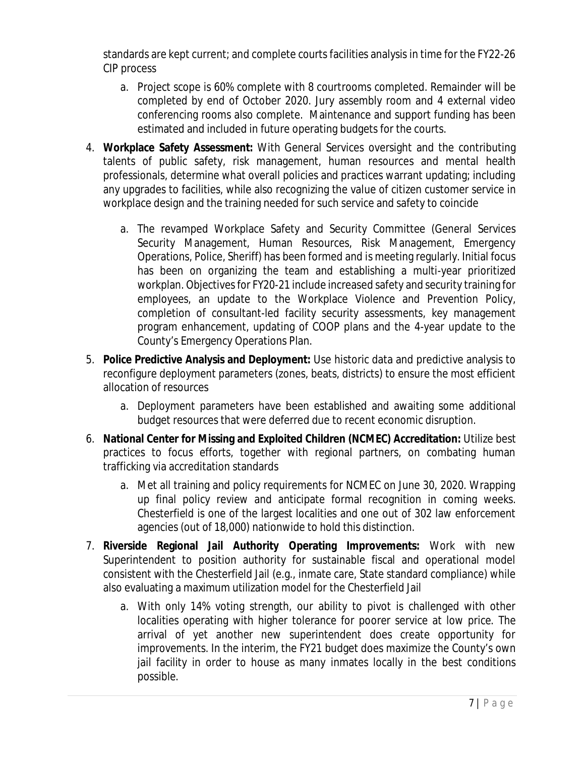standards are kept current; and complete courts facilities analysis in time for the FY22-26 CIP process

- a. Project scope is 60% complete with 8 courtrooms completed. Remainder will be completed by end of October 2020. Jury assembly room and 4 external video conferencing rooms also complete. Maintenance and support funding has been estimated and included in future operating budgets for the courts.
- 4. **Workplace Safety Assessment:** With General Services oversight and the contributing talents of public safety, risk management, human resources and mental health professionals, determine what overall policies and practices warrant updating; including any upgrades to facilities, while also recognizing the value of citizen customer service in workplace design and the training needed for such service and safety to coincide
	- a. The revamped Workplace Safety and Security Committee (General Services Security Management, Human Resources, Risk Management, Emergency Operations, Police, Sheriff) has been formed and is meeting regularly. Initial focus has been on organizing the team and establishing a multi-year prioritized workplan. Objectives for FY20-21 include increased safety and security training for employees, an update to the Workplace Violence and Prevention Policy, completion of consultant-led facility security assessments, key management program enhancement, updating of COOP plans and the 4-year update to the County's Emergency Operations Plan.
- 5. **Police Predictive Analysis and Deployment:** Use historic data and predictive analysis to reconfigure deployment parameters (zones, beats, districts) to ensure the most efficient allocation of resources
	- a. Deployment parameters have been established and awaiting some additional budget resources that were deferred due to recent economic disruption.
- 6. **National Center for Missing and Exploited Children (NCMEC) Accreditation:** Utilize best practices to focus efforts, together with regional partners, on combating human trafficking via accreditation standards
	- a. Met all training and policy requirements for NCMEC on June 30, 2020. Wrapping up final policy review and anticipate formal recognition in coming weeks. Chesterfield is one of the largest localities and one out of 302 law enforcement agencies (out of 18,000) nationwide to hold this distinction.
- 7. **Riverside Regional Jail Authority Operating Improvements:** Work with new Superintendent to position authority for sustainable fiscal and operational model consistent with the Chesterfield Jail (e.g., inmate care, State standard compliance) while also evaluating a maximum utilization model for the Chesterfield Jail
	- a. With only 14% voting strength, our ability to pivot is challenged with other localities operating with higher tolerance for poorer service at low price. The arrival of yet another new superintendent does create opportunity for improvements. In the interim, the FY21 budget does maximize the County's own jail facility in order to house as many inmates locally in the best conditions possible.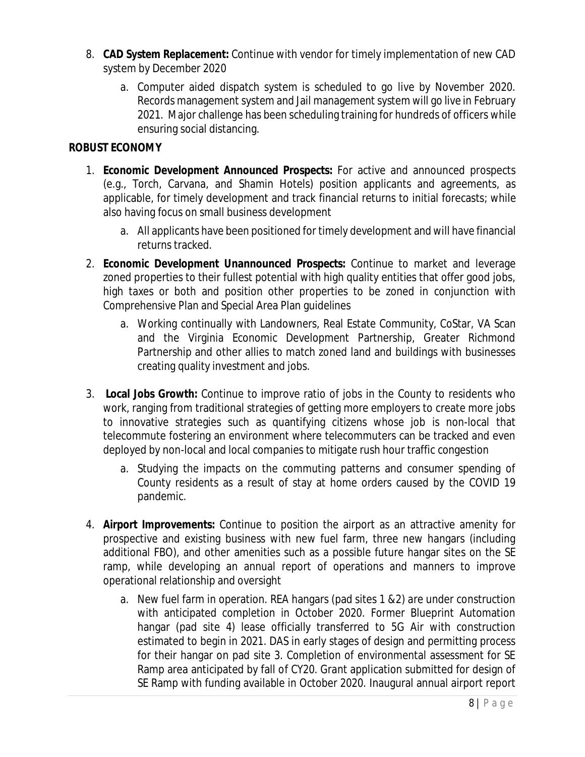- 8. **CAD System Replacement:** Continue with vendor for timely implementation of new CAD system by December 2020
	- a. Computer aided dispatch system is scheduled to go live by November 2020. Records management system and Jail management system will go live in February 2021. Major challenge has been scheduling training for hundreds of officers while ensuring social distancing.

#### **ROBUST ECONOMY**

- 1. **Economic Development Announced Prospects:** For active and announced prospects (e.g., Torch, Carvana, and Shamin Hotels) position applicants and agreements, as applicable, for timely development and track financial returns to initial forecasts; while also having focus on small business development
	- a. All applicants have been positioned for timely development and will have financial returns tracked.
- 2. **Economic Development Unannounced Prospects:** Continue to market and leverage zoned properties to their fullest potential with high quality entities that offer good jobs, high taxes or both and position other properties to be zoned in conjunction with Comprehensive Plan and Special Area Plan guidelines
	- a. Working continually with Landowners, Real Estate Community, CoStar, VA Scan and the Virginia Economic Development Partnership, Greater Richmond Partnership and other allies to match zoned land and buildings with businesses creating quality investment and jobs.
- 3. **Local Jobs Growth:** Continue to improve ratio of jobs in the County to residents who work, ranging from traditional strategies of getting more employers to create more jobs to innovative strategies such as quantifying citizens whose job is non-local that telecommute fostering an environment where telecommuters can be tracked and even deployed by non-local and local companies to mitigate rush hour traffic congestion
	- a. Studying the impacts on the commuting patterns and consumer spending of County residents as a result of stay at home orders caused by the COVID 19 pandemic.
- 4. **Airport Improvements:** Continue to position the airport as an attractive amenity for prospective and existing business with new fuel farm, three new hangars (including additional FBO), and other amenities such as a possible future hangar sites on the SE ramp, while developing an annual report of operations and manners to improve operational relationship and oversight
	- a. New fuel farm in operation. REA hangars (pad sites 1 &2) are under construction with anticipated completion in October 2020. Former Blueprint Automation hangar (pad site 4) lease officially transferred to 5G Air with construction estimated to begin in 2021. DAS in early stages of design and permitting process for their hangar on pad site 3. Completion of environmental assessment for SE Ramp area anticipated by fall of CY20. Grant application submitted for design of SE Ramp with funding available in October 2020. Inaugural annual airport report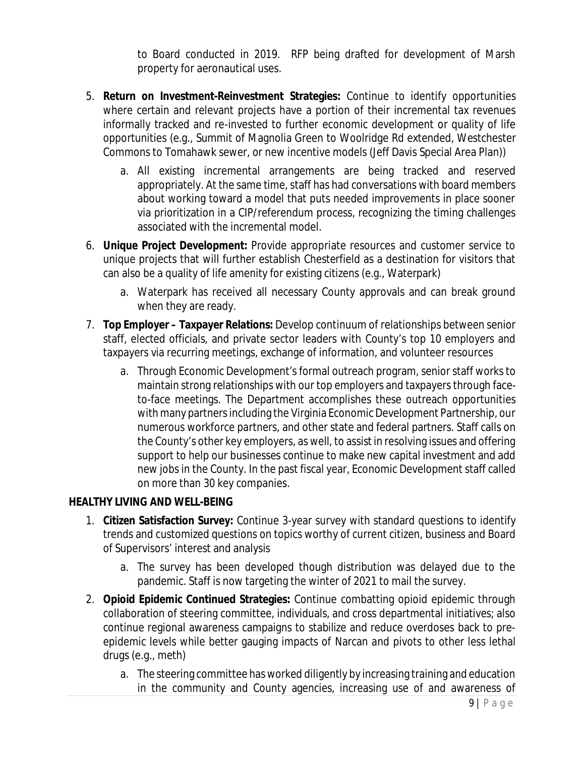to Board conducted in 2019. RFP being drafted for development of Marsh property for aeronautical uses.

- 5. **Return on Investment-Reinvestment Strategies:** Continue to identify opportunities where certain and relevant projects have a portion of their incremental tax revenues informally tracked and re-invested to further economic development or quality of life opportunities (e.g., Summit of Magnolia Green to Woolridge Rd extended, Westchester Commons to Tomahawk sewer, or new incentive models (Jeff Davis Special Area Plan))
	- a. All existing incremental arrangements are being tracked and reserved appropriately. At the same time, staff has had conversations with board members about working toward a model that puts needed improvements in place sooner via prioritization in a CIP/referendum process, recognizing the timing challenges associated with the incremental model.
- 6. **Unique Project Development:** Provide appropriate resources and customer service to unique projects that will further establish Chesterfield as a destination for visitors that can also be a quality of life amenity for existing citizens (e.g., Waterpark)
	- a. Waterpark has received all necessary County approvals and can break ground when they are ready.
- 7. **Top Employer – Taxpayer Relations:** Develop continuum of relationships between senior staff, elected officials, and private sector leaders with County's top 10 employers and taxpayers via recurring meetings, exchange of information, and volunteer resources
	- a. Through Economic Development's formal outreach program, senior staff works to maintain strong relationships with our top employers and taxpayers through faceto-face meetings. The Department accomplishes these outreach opportunities with many partners including the Virginia Economic Development Partnership, our numerous workforce partners, and other state and federal partners. Staff calls on the County's other key employers, as well, to assist in resolving issues and offering support to help our businesses continue to make new capital investment and add new jobs in the County. In the past fiscal year, Economic Development staff called on more than 30 key companies.

## **HEALTHY LIVING AND WELL-BEING**

- 1. **Citizen Satisfaction Survey:** Continue 3-year survey with standard questions to identify trends and customized questions on topics worthy of current citizen, business and Board of Supervisors' interest and analysis
	- a. The survey has been developed though distribution was delayed due to the pandemic. Staff is now targeting the winter of 2021 to mail the survey.
- 2. **Opioid Epidemic Continued Strategies:** Continue combatting opioid epidemic through collaboration of steering committee, individuals, and cross departmental initiatives; also continue regional awareness campaigns to stabilize and reduce overdoses back to preepidemic levels while better gauging impacts of Narcan and pivots to other less lethal drugs (e.g., meth)
	- a. The steering committee has worked diligently by increasing training and education in the community and County agencies, increasing use of and awareness of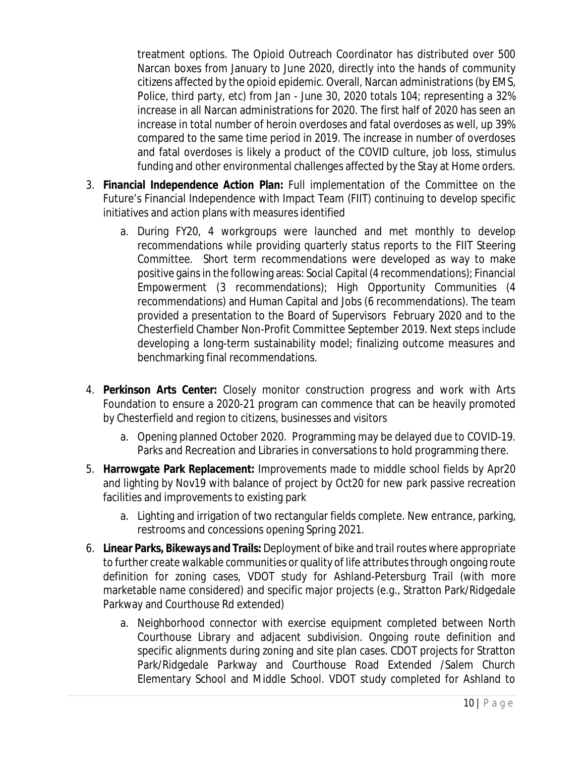treatment options. The Opioid Outreach Coordinator has distributed over 500 Narcan boxes from January to June 2020, directly into the hands of community citizens affected by the opioid epidemic. Overall, Narcan administrations (by EMS, Police, third party, etc) from Jan - June 30, 2020 totals 104; representing a 32% increase in all Narcan administrations for 2020. The first half of 2020 has seen an increase in total number of heroin overdoses and fatal overdoses as well, up 39% compared to the same time period in 2019. The increase in number of overdoses and fatal overdoses is likely a product of the COVID culture, job loss, stimulus funding and other environmental challenges affected by the Stay at Home orders.

- 3. **Financial Independence Action Plan:** Full implementation of the Committee on the Future's Financial Independence with Impact Team (FIIT) continuing to develop specific initiatives and action plans with measures identified
	- a. During FY20, 4 workgroups were launched and met monthly to develop recommendations while providing quarterly status reports to the FIIT Steering Committee. Short term recommendations were developed as way to make positive gains in the following areas: Social Capital (4 recommendations); Financial Empowerment (3 recommendations); High Opportunity Communities (4 recommendations) and Human Capital and Jobs (6 recommendations). The team provided a presentation to the Board of Supervisors February 2020 and to the Chesterfield Chamber Non-Profit Committee September 2019. Next steps include developing a long-term sustainability model; finalizing outcome measures and benchmarking final recommendations.
- 4. **Perkinson Arts Center:** Closely monitor construction progress and work with Arts Foundation to ensure a 2020-21 program can commence that can be heavily promoted by Chesterfield and region to citizens, businesses and visitors
	- a. Opening planned October 2020. Programming may be delayed due to COVID-19. Parks and Recreation and Libraries in conversations to hold programming there.
- 5. **Harrowgate Park Replacement:** Improvements made to middle school fields by Apr20 and lighting by Nov19 with balance of project by Oct20 for new park passive recreation facilities and improvements to existing park
	- a. Lighting and irrigation of two rectangular fields complete. New entrance, parking, restrooms and concessions opening Spring 2021.
- 6. **Linear Parks, Bikeways and Trails:** Deployment of bike and trail routes where appropriate to further create walkable communities or quality of life attributes through ongoing route definition for zoning cases, VDOT study for Ashland-Petersburg Trail (with more marketable name considered) and specific major projects (e.g., Stratton Park/Ridgedale Parkway and Courthouse Rd extended)
	- a. Neighborhood connector with exercise equipment completed between North Courthouse Library and adjacent subdivision. Ongoing route definition and specific alignments during zoning and site plan cases. CDOT projects for Stratton Park/Ridgedale Parkway and Courthouse Road Extended /Salem Church Elementary School and Middle School. VDOT study completed for Ashland to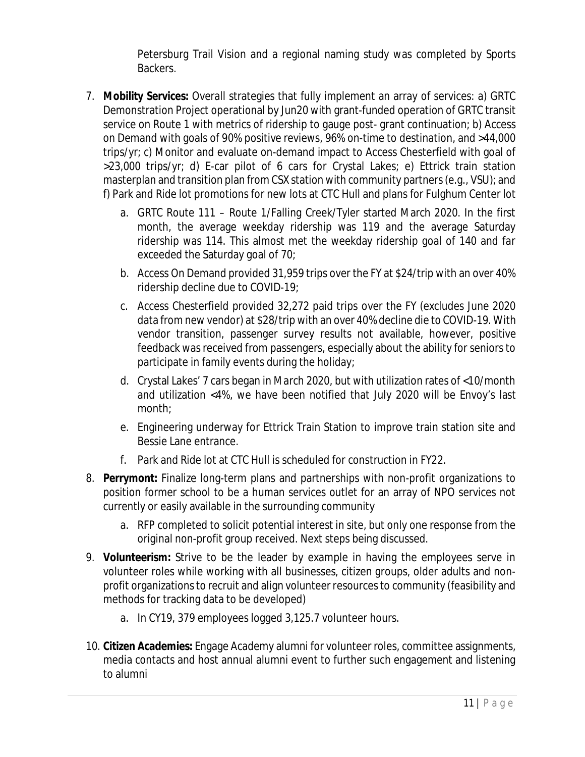Petersburg Trail Vision and a regional naming study was completed by Sports Backers.

- 7. **Mobility Services:** Overall strategies that fully implement an array of services: a) GRTC Demonstration Project operational by Jun20 with grant-funded operation of GRTC transit service on Route 1 with metrics of ridership to gauge post- grant continuation; b) Access on Demand with goals of 90% positive reviews, 96% on-time to destination, and >44,000 trips/yr; c) Monitor and evaluate on-demand impact to Access Chesterfield with goal of >23,000 trips/yr; d) E-car pilot of 6 cars for Crystal Lakes; e) Ettrick train station masterplan and transition plan from CSX station with community partners (e.g., VSU); and f) Park and Ride lot promotions for new lots at CTC Hull and plans for Fulghum Center lot
	- a. GRTC Route 111 Route 1/Falling Creek/Tyler started March 2020. In the first month, the average weekday ridership was 119 and the average Saturday ridership was 114. This almost met the weekday ridership goal of 140 and far exceeded the Saturday goal of 70;
	- b. Access On Demand provided 31,959 trips over the FY at \$24/trip with an over 40% ridership decline due to COVID-19;
	- c. Access Chesterfield provided 32,272 paid trips over the FY (excludes June 2020 data from new vendor) at \$28/trip with an over 40% decline die to COVID-19. With vendor transition, passenger survey results not available, however, positive feedback was received from passengers, especially about the ability for seniors to participate in family events during the holiday;
	- d. Crystal Lakes' 7 cars began in March 2020, but with utilization rates of <10/month and utilization <4%, we have been notified that July 2020 will be Envoy's last month;
	- e. Engineering underway for Ettrick Train Station to improve train station site and Bessie Lane entrance.
	- f. Park and Ride lot at CTC Hull is scheduled for construction in FY22.
- 8. **Perrymont:** Finalize long-term plans and partnerships with non-profit organizations to position former school to be a human services outlet for an array of NPO services not currently or easily available in the surrounding community
	- a. RFP completed to solicit potential interest in site, but only one response from the original non-profit group received. Next steps being discussed.
- 9. **Volunteerism:** Strive to be the leader by example in having the employees serve in volunteer roles while working with all businesses, citizen groups, older adults and nonprofit organizations to recruit and align volunteer resources to community (feasibility and methods for tracking data to be developed)
	- a. In CY19, 379 employees logged 3,125.7 volunteer hours.
- 10. **Citizen Academies:** Engage Academy alumni for volunteer roles, committee assignments, media contacts and host annual alumni event to further such engagement and listening to alumni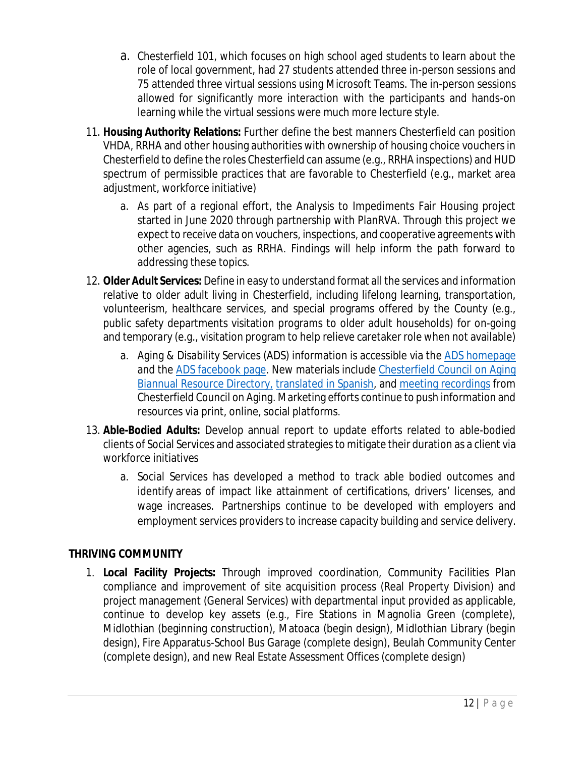- a. Chesterfield 101, which focuses on high school aged students to learn about the role of local government, had 27 students attended three in-person sessions and 75 attended three virtual sessions using Microsoft Teams. The in-person sessions allowed for significantly more interaction with the participants and hands-on learning while the virtual sessions were much more lecture style.
- 11. **Housing Authority Relations:** Further define the best manners Chesterfield can position VHDA, RRHA and other housing authorities with ownership of housing choice vouchers in Chesterfield to define the roles Chesterfield can assume (e.g., RRHA inspections) and HUD spectrum of permissible practices that are favorable to Chesterfield (e.g., market area adjustment, workforce initiative)
	- a. As part of a regional effort, the Analysis to Impediments Fair Housing project started in June 2020 through partnership with PlanRVA. Through this project we expect to receive data on vouchers, inspections, and cooperative agreements with other agencies, such as RRHA. Findings will help inform the path forward to addressing these topics.
- 12. **Older Adult Services:** Define in easy to understand format all the services and information relative to older adult living in Chesterfield, including lifelong learning, transportation, volunteerism, healthcare services, and special programs offered by the County (e.g., public safety departments visitation programs to older adult households) for on-going and temporary (e.g., visitation program to help relieve caretaker role when not available)
	- a. Aging & Disability Services (ADS) information is accessible via the ADS homepage and the ADS facebook page. New materials include Chesterfield Council on Aging Biannual Resource Directory, translated in Spanish, and meeting recordings from Chesterfield Council on Aging. Marketing efforts continue to push information and resources via print, online, social platforms.
- 13. **Able-Bodied Adults:** Develop annual report to update efforts related to able-bodied clients of Social Services and associated strategies to mitigate their duration as a client via workforce initiatives
	- a. Social Services has developed a method to track able bodied outcomes and identify areas of impact like attainment of certifications, drivers' licenses, and wage increases. Partnerships continue to be developed with employers and employment services providers to increase capacity building and service delivery.

# **THRIVING COMMUNITY**

1. **Local Facility Projects:** Through improved coordination, Community Facilities Plan compliance and improvement of site acquisition process (Real Property Division) and project management (General Services) with departmental input provided as applicable, continue to develop key assets (e.g., Fire Stations in Magnolia Green (complete), Midlothian (beginning construction), Matoaca (begin design), Midlothian Library (begin design), Fire Apparatus-School Bus Garage (complete design), Beulah Community Center (complete design), and new Real Estate Assessment Offices (complete design)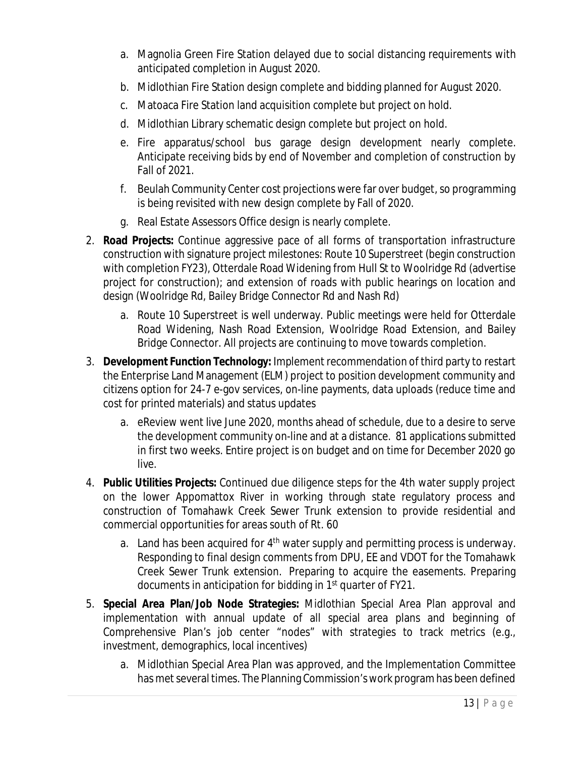- a. Magnolia Green Fire Station delayed due to social distancing requirements with anticipated completion in August 2020.
- b. Midlothian Fire Station design complete and bidding planned for August 2020.
- c. Matoaca Fire Station land acquisition complete but project on hold.
- d. Midlothian Library schematic design complete but project on hold.
- e. Fire apparatus/school bus garage design development nearly complete. Anticipate receiving bids by end of November and completion of construction by Fall of 2021.
- f. Beulah Community Center cost projections were far over budget, so programming is being revisited with new design complete by Fall of 2020.
- g. Real Estate Assessors Office design is nearly complete.
- 2. **Road Projects:** Continue aggressive pace of all forms of transportation infrastructure construction with signature project milestones: Route 10 Superstreet (begin construction with completion FY23), Otterdale Road Widening from Hull St to Woolridge Rd (advertise project for construction); and extension of roads with public hearings on location and design (Woolridge Rd, Bailey Bridge Connector Rd and Nash Rd)
	- a. Route 10 Superstreet is well underway. Public meetings were held for Otterdale Road Widening, Nash Road Extension, Woolridge Road Extension, and Bailey Bridge Connector. All projects are continuing to move towards completion.
- 3. **Development Function Technology:** Implement recommendation of third party to restart the Enterprise Land Management (ELM) project to position development community and citizens option for 24-7 e-gov services, on-line payments, data uploads (reduce time and cost for printed materials) and status updates
	- a. eReview went live June 2020, months ahead of schedule, due to a desire to serve the development community on-line and at a distance. 81 applications submitted in first two weeks. Entire project is on budget and on time for December 2020 go live.
- 4. **Public Utilities Projects:** Continued due diligence steps for the 4th water supply project on the lower Appomattox River in working through state regulatory process and construction of Tomahawk Creek Sewer Trunk extension to provide residential and commercial opportunities for areas south of Rt. 60
	- a. Land has been acquired for  $4<sup>th</sup>$  water supply and permitting process is underway. Responding to final design comments from DPU, EE and VDOT for the Tomahawk Creek Sewer Trunk extension. Preparing to acquire the easements. Preparing documents in anticipation for bidding in 1<sup>st</sup> quarter of FY21.
- 5. **Special Area Plan/Job Node Strategies:** Midlothian Special Area Plan approval and implementation with annual update of all special area plans and beginning of Comprehensive Plan's job center "nodes" with strategies to track metrics (e.g., investment, demographics, local incentives)
	- a. Midlothian Special Area Plan was approved, and the Implementation Committee has met several times. The Planning Commission's work program has been defined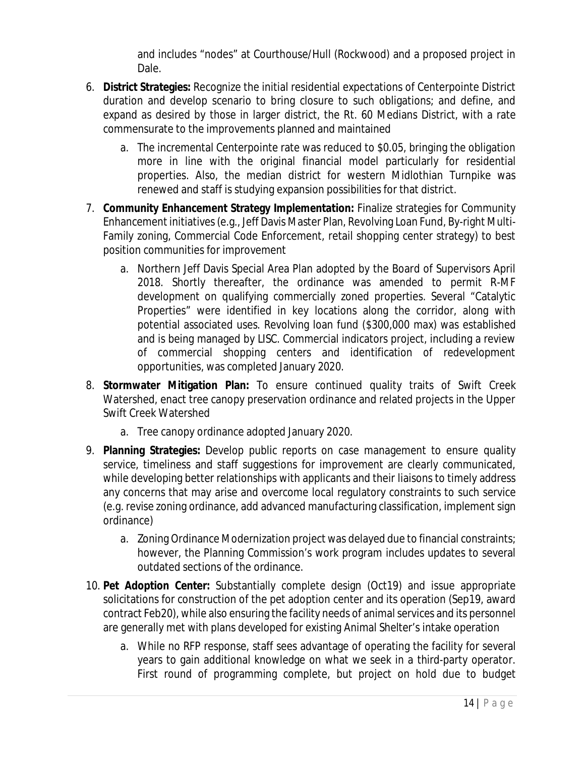and includes "nodes" at Courthouse/Hull (Rockwood) and a proposed project in Dale.

- 6. **District Strategies:** Recognize the initial residential expectations of Centerpointe District duration and develop scenario to bring closure to such obligations; and define, and expand as desired by those in larger district, the Rt. 60 Medians District, with a rate commensurate to the improvements planned and maintained
	- a. The incremental Centerpointe rate was reduced to \$0.05, bringing the obligation more in line with the original financial model particularly for residential properties. Also, the median district for western Midlothian Turnpike was renewed and staff is studying expansion possibilities for that district.
- 7. **Community Enhancement Strategy Implementation:** Finalize strategies for Community Enhancement initiatives (e.g., Jeff Davis Master Plan, Revolving Loan Fund, By-right Multi-Family zoning, Commercial Code Enforcement, retail shopping center strategy) to best position communities for improvement
	- a. Northern Jeff Davis Special Area Plan adopted by the Board of Supervisors April 2018. Shortly thereafter, the ordinance was amended to permit R-MF development on qualifying commercially zoned properties. Several "Catalytic Properties" were identified in key locations along the corridor, along with potential associated uses. Revolving loan fund (\$300,000 max) was established and is being managed by LISC. Commercial indicators project, including a review of commercial shopping centers and identification of redevelopment opportunities, was completed January 2020.
- 8. **Stormwater Mitigation Plan:** To ensure continued quality traits of Swift Creek Watershed, enact tree canopy preservation ordinance and related projects in the Upper Swift Creek Watershed
	- a. Tree canopy ordinance adopted January 2020.
- 9. **Planning Strategies:** Develop public reports on case management to ensure quality service, timeliness and staff suggestions for improvement are clearly communicated, while developing better relationships with applicants and their liaisons to timely address any concerns that may arise and overcome local regulatory constraints to such service (e.g. revise zoning ordinance, add advanced manufacturing classification, implement sign ordinance)
	- a. Zoning Ordinance Modernization project was delayed due to financial constraints; however, the Planning Commission's work program includes updates to several outdated sections of the ordinance.
- 10. **Pet Adoption Center:** Substantially complete design (Oct19) and issue appropriate solicitations for construction of the pet adoption center and its operation (Sep19, award contract Feb20), while also ensuring the facility needs of animal services and its personnel are generally met with plans developed for existing Animal Shelter's intake operation
	- a. While no RFP response, staff sees advantage of operating the facility for several years to gain additional knowledge on what we seek in a third-party operator. First round of programming complete, but project on hold due to budget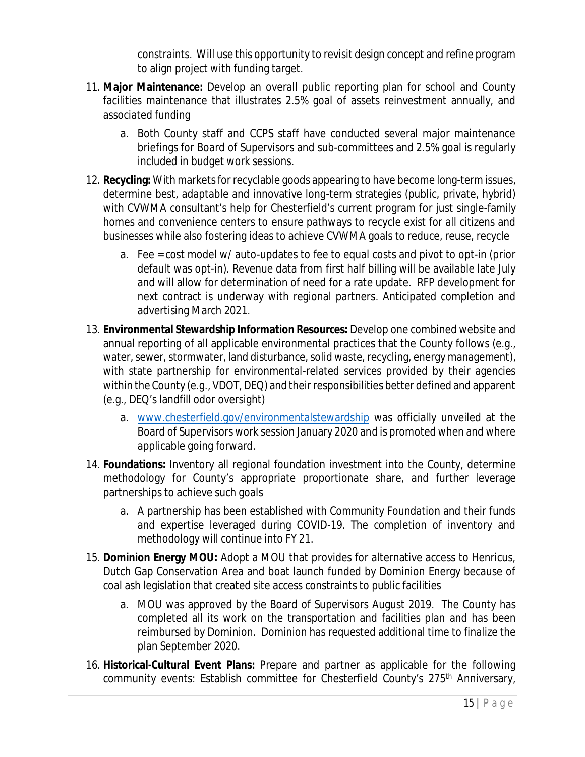constraints. Will use this opportunity to revisit design concept and refine program to align project with funding target.

- 11. **Major Maintenance:** Develop an overall public reporting plan for school and County facilities maintenance that illustrates 2.5% goal of assets reinvestment annually, and associated funding
	- a. Both County staff and CCPS staff have conducted several major maintenance briefings for Board of Supervisors and sub-committees and 2.5% goal is regularly included in budget work sessions.
- 12. **Recycling:** With markets for recyclable goods appearing to have become long-term issues, determine best, adaptable and innovative long-term strategies (public, private, hybrid) with CVWMA consultant's help for Chesterfield's current program for just single-family homes and convenience centers to ensure pathways to recycle exist for all citizens and businesses while also fostering ideas to achieve CVWMA goals to reduce, reuse, recycle
	- a. Fee = cost model w/ auto-updates to fee to equal costs and pivot to opt-in (prior default was opt-in). Revenue data from first half billing will be available late July and will allow for determination of need for a rate update. RFP development for next contract is underway with regional partners. Anticipated completion and advertising March 2021.
- 13. **Environmental Stewardship Information Resources:** Develop one combined website and annual reporting of all applicable environmental practices that the County follows (e.g., water, sewer, stormwater, land disturbance, solid waste, recycling, energy management), with state partnership for environmental-related services provided by their agencies within the County (e.g., VDOT, DEQ) and their responsibilities better defined and apparent (e.g., DEQ's landfill odor oversight)
	- a. [www.chesterfield.gov/environmentalstewardship](http://www.chesterfield.gov/environmentalstewardship) was officially unveiled at the Board of Supervisors work session January 2020 and is promoted when and where applicable going forward.
- 14. **Foundations:** Inventory all regional foundation investment into the County, determine methodology for County's appropriate proportionate share, and further leverage partnerships to achieve such goals
	- a. A partnership has been established with Community Foundation and their funds and expertise leveraged during COVID-19. The completion of inventory and methodology will continue into FY 21.
- 15. **Dominion Energy MOU:** Adopt a MOU that provides for alternative access to Henricus, Dutch Gap Conservation Area and boat launch funded by Dominion Energy because of coal ash legislation that created site access constraints to public facilities
	- a. MOU was approved by the Board of Supervisors August 2019. The County has completed all its work on the transportation and facilities plan and has been reimbursed by Dominion. Dominion has requested additional time to finalize the plan September 2020.
- 16. **Historical-Cultural Event Plans:** Prepare and partner as applicable for the following community events: Establish committee for Chesterfield County's 275<sup>th</sup> Anniversary,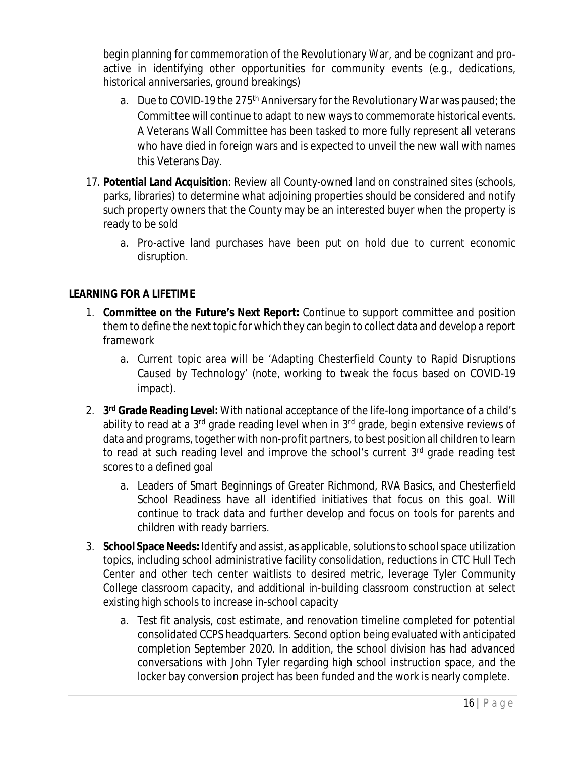begin planning for commemoration of the Revolutionary War, and be cognizant and proactive in identifying other opportunities for community events (e.g., dedications, historical anniversaries, ground breakings)

- a. Due to COVID-19 the 275<sup>th</sup> Anniversary for the Revolutionary War was paused; the Committee will continue to adapt to new ways to commemorate historical events. A Veterans Wall Committee has been tasked to more fully represent all veterans who have died in foreign wars and is expected to unveil the new wall with names this Veterans Day.
- 17. **Potential Land Acquisition**: Review all County-owned land on constrained sites (schools, parks, libraries) to determine what adjoining properties should be considered and notify such property owners that the County may be an interested buyer when the property is ready to be sold
	- a. Pro-active land purchases have been put on hold due to current economic disruption.

# **LEARNING FOR A LIFETIME**

- 1. **Committee on the Future's Next Report:** Continue to support committee and position them to define the next topic for which they can begin to collect data and develop a report framework
	- a. Current topic area will be 'Adapting Chesterfield County to Rapid Disruptions Caused by Technology' (note, working to tweak the focus based on COVID-19 impact).
- 2. **3 rd Grade Reading Level:** With national acceptance of the life-long importance of a child's ability to read at a  $3<sup>rd</sup>$  grade reading level when in  $3<sup>rd</sup>$  grade, begin extensive reviews of data and programs, together with non-profit partners, to best position all children to learn to read at such reading level and improve the school's current 3<sup>rd</sup> grade reading test scores to a defined goal
	- a. Leaders of Smart Beginnings of Greater Richmond, RVA Basics, and Chesterfield School Readiness have all identified initiatives that focus on this goal. Will continue to track data and further develop and focus on tools for parents and children with ready barriers.
- 3. **School Space Needs:** Identify and assist, as applicable, solutions to school space utilization topics, including school administrative facility consolidation, reductions in CTC Hull Tech Center and other tech center waitlists to desired metric, leverage Tyler Community College classroom capacity, and additional in-building classroom construction at select existing high schools to increase in-school capacity
	- a. Test fit analysis, cost estimate, and renovation timeline completed for potential consolidated CCPS headquarters. Second option being evaluated with anticipated completion September 2020. In addition, the school division has had advanced conversations with John Tyler regarding high school instruction space, and the locker bay conversion project has been funded and the work is nearly complete.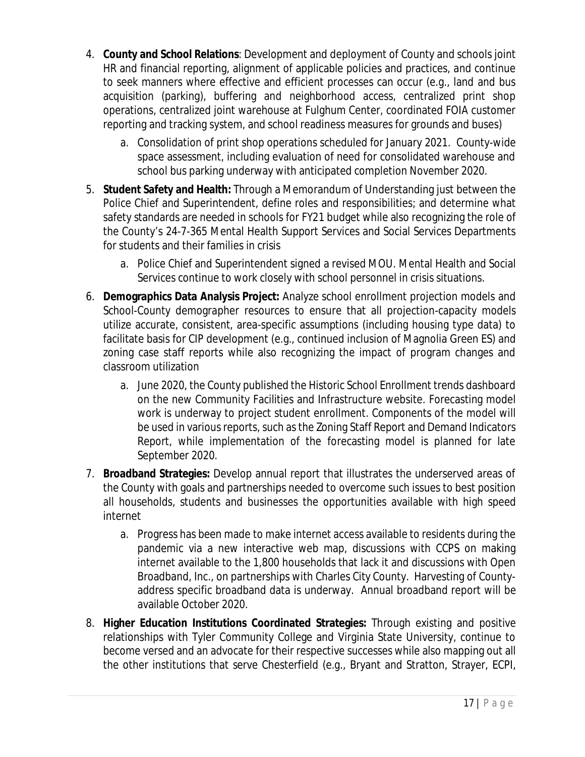- 4. **County and School Relations**: Development and deployment of County and schools joint HR and financial reporting, alignment of applicable policies and practices, and continue to seek manners where effective and efficient processes can occur (e.g., land and bus acquisition (parking), buffering and neighborhood access, centralized print shop operations, centralized joint warehouse at Fulghum Center, coordinated FOIA customer reporting and tracking system, and school readiness measures for grounds and buses)
	- a. Consolidation of print shop operations scheduled for January 2021. County-wide space assessment, including evaluation of need for consolidated warehouse and school bus parking underway with anticipated completion November 2020.
- 5. **Student Safety and Health:** Through a Memorandum of Understanding just between the Police Chief and Superintendent, define roles and responsibilities; and determine what safety standards are needed in schools for FY21 budget while also recognizing the role of the County's 24-7-365 Mental Health Support Services and Social Services Departments for students and their families in crisis
	- a. Police Chief and Superintendent signed a revised MOU. Mental Health and Social Services continue to work closely with school personnel in crisis situations.
- 6. **Demographics Data Analysis Project:** Analyze school enrollment projection models and School-County demographer resources to ensure that all projection-capacity models utilize accurate, consistent, area-specific assumptions (including housing type data) to facilitate basis for CIP development (e.g., continued inclusion of Magnolia Green ES) and zoning case staff reports while also recognizing the impact of program changes and classroom utilization
	- a. June 2020, the County published the Historic School Enrollment trends dashboard on the new Community Facilities and Infrastructure website. Forecasting model work is underway to project student enrollment. Components of the model will be used in various reports, such as the Zoning Staff Report and Demand Indicators Report, while implementation of the forecasting model is planned for late September 2020.
- 7. **Broadband Strategies:** Develop annual report that illustrates the underserved areas of the County with goals and partnerships needed to overcome such issues to best position all households, students and businesses the opportunities available with high speed internet
	- a. Progress has been made to make internet access available to residents during the pandemic via a new interactive web map, discussions with CCPS on making internet available to the 1,800 households that lack it and discussions with Open Broadband, Inc., on partnerships with Charles City County. Harvesting of Countyaddress specific broadband data is underway. Annual broadband report will be available October 2020.
- 8. **Higher Education Institutions Coordinated Strategies:** Through existing and positive relationships with Tyler Community College and Virginia State University, continue to become versed and an advocate for their respective successes while also mapping out all the other institutions that serve Chesterfield (e.g., Bryant and Stratton, Strayer, ECPI,